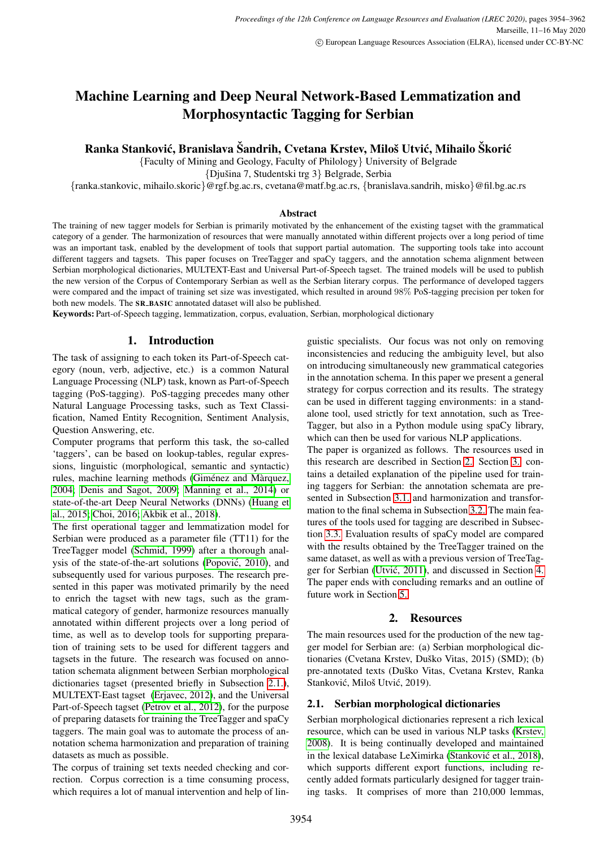# Machine Learning and Deep Neural Network-Based Lemmatization and Morphosyntactic Tagging for Serbian

Ranka Stanković, Branislava Šandrih, Cvetana Krstev, Miloš Utvić, Mihailo Škorić

{Faculty of Mining and Geology, Faculty of Philology} University of Belgrade

{Djušina 7, Studentski trg 3} Belgrade, Serbia

{ranka.stankovic, mihailo.skoric}@rgf.bg.ac.rs, cvetana@matf.bg.ac.rs, {branislava.sandrih, misko}@fil.bg.ac.rs

#### Abstract

The training of new tagger models for Serbian is primarily motivated by the enhancement of the existing tagset with the grammatical category of a gender. The harmonization of resources that were manually annotated within different projects over a long period of time was an important task, enabled by the development of tools that support partial automation. The supporting tools take into account different taggers and tagsets. This paper focuses on TreeTagger and spaCy taggers, and the annotation schema alignment between Serbian morphological dictionaries, MULTEXT-East and Universal Part-of-Speech tagset. The trained models will be used to publish the new version of the Corpus of Contemporary Serbian as well as the Serbian literary corpus. The performance of developed taggers were compared and the impact of training set size was investigated, which resulted in around 98% PoS-tagging precision per token for both new models. The SR\_BASIC annotated dataset will also be published.

Keywords: Part-of-Speech tagging, lemmatization, corpus, evaluation, Serbian, morphological dictionary

# 1. Introduction

The task of assigning to each token its Part-of-Speech category (noun, verb, adjective, etc.) is a common Natural Language Processing (NLP) task, known as Part-of-Speech tagging (PoS-tagging). PoS-tagging precedes many other Natural Language Processing tasks, such as Text Classification, Named Entity Recognition, Sentiment Analysis, Question Answering, etc.

Computer programs that perform this task, the so-called 'taggers', can be based on lookup-tables, regular expressions, linguistic (morphological, semantic and syntactic) rules, machine learning methods (Giménez and Màrquez, [2004;](#page-8-0) [Denis and Sagot, 2009;](#page-8-1) [Manning et al., 2014\)](#page-8-2) or state-of-the-art Deep Neural Networks (DNNs) [\(Huang et](#page-8-3) [al., 2015;](#page-8-3) [Choi, 2016;](#page-7-0) [Akbik et al., 2018\)](#page-7-1).

The first operational tagger and lemmatization model for Serbian were produced as a parameter file (TT11) for the TreeTagger model [\(Schmid, 1999\)](#page-8-4) after a thorough analysis of the state-of-the-art solutions [\(Popovic, 2010\)](#page-8-5), and ´ subsequently used for various purposes. The research presented in this paper was motivated primarily by the need to enrich the tagset with new tags, such as the grammatical category of gender, harmonize resources manually annotated within different projects over a long period of time, as well as to develop tools for supporting preparation of training sets to be used for different taggers and tagsets in the future. The research was focused on annotation schemata alignment between Serbian morphological dictionaries tagset (presented briefly in Subsection [2.1.\)](#page-0-0), MULTEXT-East tagset [\(Erjavec, 2012\)](#page-8-6), and the Universal Part-of-Speech tagset [\(Petrov et al., 2012\)](#page-8-7), for the purpose of preparing datasets for training the TreeTagger and spaCy taggers. The main goal was to automate the process of annotation schema harmonization and preparation of training datasets as much as possible.

The corpus of training set texts needed checking and correction. Corpus correction is a time consuming process, which requires a lot of manual intervention and help of linguistic specialists. Our focus was not only on removing inconsistencies and reducing the ambiguity level, but also on introducing simultaneously new grammatical categories in the annotation schema. In this paper we present a general strategy for corpus correction and its results. The strategy can be used in different tagging environments: in a standalone tool, used strictly for text annotation, such as Tree-Tagger, but also in a Python module using spaCy library, which can then be used for various NLP applications.

The paper is organized as follows. The resources used in this research are described in Section [2.](#page-0-1) Section [3.](#page-1-0) contains a detailed explanation of the pipeline used for training taggers for Serbian: the annotation schemata are presented in Subsection [3.1.](#page-1-1) and harmonization and transformation to the final schema in Subsection [3.2.](#page-1-2) The main features of the tools used for tagging are described in Subsection [3.3.](#page-3-0) Evaluation results of spaCy model are compared with the results obtained by the TreeTagger trained on the same dataset, as well as with a previous version of TreeTagger for Serbian [\(Utvic, 2011\)](#page-8-8), and discussed in Section [4.](#page-3-1) ´ The paper ends with concluding remarks and an outline of future work in Section [5.](#page-5-0)

# 2. Resources

<span id="page-0-1"></span>The main resources used for the production of the new tagger model for Serbian are: (a) Serbian morphological dictionaries (Cvetana Krstev, Duško Vitas, 2015) (SMD); (b) pre-annotated texts (Duško Vitas, Cvetana Krstev, Ranka Stanković, Miloš Utvić, 2019).

## <span id="page-0-0"></span>2.1. Serbian morphological dictionaries

Serbian morphological dictionaries represent a rich lexical resource, which can be used in various NLP tasks [\(Krstev,](#page-8-9) [2008\)](#page-8-9). It is being continually developed and maintained in the lexical database LeXimirka (Stanković et al., 2018), which supports different export functions, including recently added formats particularly designed for tagger training tasks. It comprises of more than 210,000 lemmas,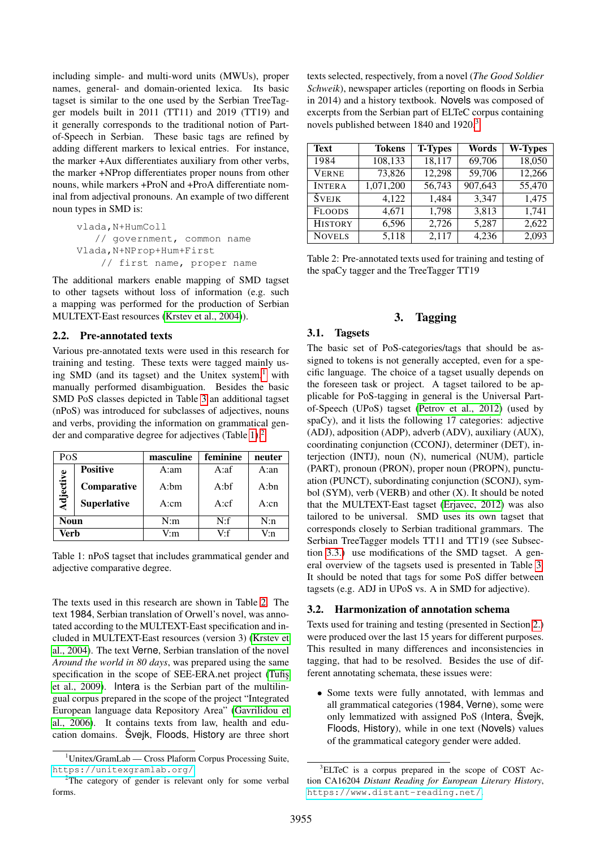including simple- and multi-word units (MWUs), proper names, general- and domain-oriented lexica. Its basic tagset is similar to the one used by the Serbian TreeTagger models built in 2011 (TT11) and 2019 (TT19) and it generally corresponds to the traditional notion of Partof-Speech in Serbian. These basic tags are refined by adding different markers to lexical entries. For instance, the marker +Aux differentiates auxiliary from other verbs, the marker +NProp differentiates proper nouns from other nouns, while markers +ProN and +ProA differentiate nominal from adjectival pronouns. An example of two different noun types in SMD is:

vlada,N+HumColl // government, common name Vlada,N+NProp+Hum+First // first name, proper name

The additional markers enable mapping of SMD tagset to other tagsets without loss of information (e.g. such a mapping was performed for the production of Serbian MULTEXT-East resources [\(Krstev et al., 2004\)](#page-8-11)).

## <span id="page-1-8"></span>2.2. Pre-annotated texts

Various pre-annotated texts were used in this research for training and testing. These texts were tagged mainly using SMD (and its tagset) and the Unitex system, $<sup>1</sup>$  $<sup>1</sup>$  $<sup>1</sup>$  with</sup> manually performed disambiguation. Besides the basic SMD PoS classes depicted in Table [3](#page-2-0) an additional tagset (nPoS) was introduced for subclasses of adjectives, nouns and verbs, providing the information on grammatical gender and comparative degree for adjectives (Table [1\)](#page-1-4).[2](#page-1-5)

<span id="page-1-4"></span>

| PoS         |                    | masculine | feminine | neuter |  |  |
|-------------|--------------------|-----------|----------|--------|--|--|
|             | <b>Positive</b>    | A:am      | A:af     | A:an   |  |  |
| Adjective   | Comparative        | $A:$ hm   | A:       | A:bn   |  |  |
|             | <b>Superlative</b> | A:cm      | A:cf     | A:cn   |  |  |
| <b>Noun</b> |                    | N:m       | N:f      | N:n    |  |  |
| Verb        |                    | V:m       | $V-f$    | V:n    |  |  |

Table 1: nPoS tagset that includes grammatical gender and adjective comparative degree.

The texts used in this research are shown in Table [2.](#page-1-6) The text 1984, Serbian translation of Orwell's novel, was annotated according to the MULTEXT-East specification and included in MULTEXT-East resources (version 3) [\(Krstev et](#page-8-11) [al., 2004\)](#page-8-11). The text Verne, Serbian translation of the novel *Around the world in 80 days*, was prepared using the same specification in the scope of SEE-ERA.net project (Tufis [et al., 2009\)](#page-8-12). Intera is the Serbian part of the multilingual corpus prepared in the scope of the project "Integrated European language data Repository Area" [\(Gavrilidou et](#page-8-13) [al., 2006\)](#page-8-13). It contains texts from law, health and education domains. Šveik, Floods, History are three short texts selected, respectively, from a novel (*The Good Soldier Schweik*), newspaper articles (reporting on floods in Serbia in 2014) and a history textbook. Novels was composed of excerpts from the Serbian part of ELTeC corpus containing novels published between 1840 and 1920.<sup>[3](#page-1-7)</sup>

<span id="page-1-6"></span>

| <b>Text</b>    | <b>Tokens</b> | <b>T-Types</b> | Words   | <b>W-Types</b> |
|----------------|---------------|----------------|---------|----------------|
| 1984           | 108,133       | 18,117         | 69,706  | 18,050         |
| <b>VERNE</b>   | 73,826        | 12,298         | 59,706  | 12,266         |
| <b>INTERA</b>  | 1,071,200     | 56,743         | 907,643 | 55,470         |
| ŠVEJK          | 4,122         | 1,484          | 3,347   | 1,475          |
| <b>FLOODS</b>  | 4,671         | 1,798          | 3,813   | 1,741          |
| <b>HISTORY</b> | 6,596         | 2,726          | 5,287   | 2,622          |
| <b>NOVELS</b>  | 5,118         | 2,117          | 4,236   | 2,093          |

Table 2: Pre-annotated texts used for training and testing of the spaCy tagger and the TreeTagger TT19

## 3. Tagging

#### <span id="page-1-1"></span><span id="page-1-0"></span>3.1. Tagsets

The basic set of PoS-categories/tags that should be assigned to tokens is not generally accepted, even for a specific language. The choice of a tagset usually depends on the foreseen task or project. A tagset tailored to be applicable for PoS-tagging in general is the Universal Partof-Speech (UPoS) tagset [\(Petrov et al., 2012\)](#page-8-7) (used by spaCy), and it lists the following 17 categories: adjective (ADJ), adposition (ADP), adverb (ADV), auxiliary (AUX), coordinating conjunction (CCONJ), determiner (DET), interjection (INTJ), noun (N), numerical (NUM), particle (PART), pronoun (PRON), proper noun (PROPN), punctuation (PUNCT), subordinating conjunction (SCONJ), symbol (SYM), verb (VERB) and other (X). It should be noted that the MULTEXT-East tagset [\(Erjavec, 2012\)](#page-8-6) was also tailored to be universal. SMD uses its own tagset that corresponds closely to Serbian traditional grammars. The Serbian TreeTagger models TT11 and TT19 (see Subsection [3.3.\)](#page-3-0) use modifications of the SMD tagset. A general overview of the tagsets used is presented in Table [3.](#page-2-0) It should be noted that tags for some PoS differ between tagsets (e.g. ADJ in UPoS vs. A in SMD for adjective).

#### <span id="page-1-2"></span>3.2. Harmonization of annotation schema

Texts used for training and testing (presented in Section [2.\)](#page-0-1) were produced over the last 15 years for different purposes. This resulted in many differences and inconsistencies in tagging, that had to be resolved. Besides the use of different annotating schemata, these issues were:

• Some texts were fully annotated, with lemmas and all grammatical categories (1984, Verne), some were only lemmatized with assigned PoS (Intera, Svejk, Floods, History), while in one text (Novels) values of the grammatical category gender were added.

<span id="page-1-3"></span><sup>&</sup>lt;sup>1</sup>Unitex/GramLab — Cross Plaform Corpus Processing Suite, <https://unitexgramlab.org/>

<span id="page-1-5"></span><sup>&</sup>lt;sup>2</sup>The category of gender is relevant only for some verbal forms.

<span id="page-1-7"></span><sup>3</sup>ELTeC is a corpus prepared in the scope of COST Action CA16204 *Distant Reading for European Literary History*, <https://www.distant-reading.net/>.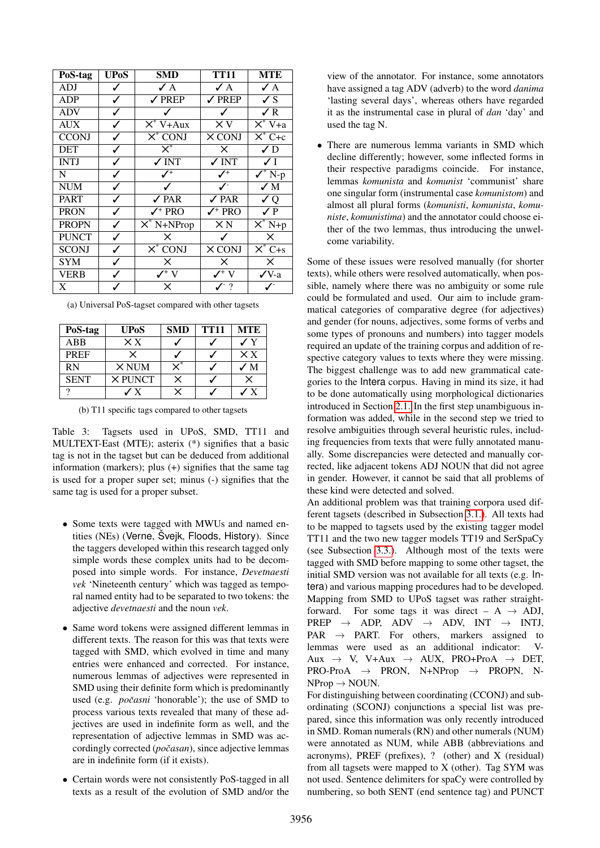<span id="page-2-0"></span>

| PoS-tag      | <b>UPoS</b> | <b>SMD</b>                              | <b>TT11</b>                  | <b>MTE</b>                                        |
|--------------|-------------|-----------------------------------------|------------------------------|---------------------------------------------------|
| <b>ADJ</b>   | ✓           | $\angle A$                              | $\angle A$                   | $\angle A$                                        |
| <b>ADP</b>   | ✓           | $\sqrt{PRED}$                           | $\sqrt{P}$ REP               | $\checkmark$ S                                    |
| <b>ADV</b>   | ✓           |                                         | ✓                            | $\sqrt{R}$                                        |
| <b>AUX</b>   | ✓           | $\overline{\mathsf{X}^* \text{ V+Aux}}$ | $\times v$                   | $\overline{\mathsf{X}^* \mathsf{V}^+ \mathsf{a}}$ |
| <b>CCONJ</b> | ✓           | $\overline{X^*$ CONJ                    | X CONJ                       | $X^*C+c$                                          |
| <b>DET</b>   | ✓           | $\overline{\mathsf{x}}^*$               | X                            | $\sqrt{D}$                                        |
| <b>INTJ</b>  | ✓           | $\sqrt{N}$                              | $\sqrt{\rm INT}$             | $\sqrt{}$ I                                       |
| N            | ✓           | $\mathcal{N}^+$                         | $\checkmark^+$               | $\checkmark$ N-p                                  |
| <b>NUM</b>   | ✓           |                                         | ╱                            | $\sqrt{M}$                                        |
| <b>PART</b>  | ✓           | $\sqrt{PAR}$                            | $\sqrt{PAR}$                 | $\sqrt{Q}$                                        |
| <b>PRON</b>  | ✓           | $\checkmark$ <sup>+</sup> PRO           | $\checkmark$ PRO             | $\sqrt{P}$                                        |
| <b>PROPN</b> | ✓           | $X^*$ N+NProp                           | $\times$ N                   | $X^*$ N+p                                         |
| <b>PUNCT</b> | ✓           | X                                       | ✓                            | $\times$                                          |
| <b>SCONJ</b> | ✓           | $X^*$ CONJ                              | $\times$ CONJ                | $\overline{X^* C + s}$                            |
| <b>SYM</b>   | ✓           | X                                       | $\times$                     | ×                                                 |
| <b>VERB</b>  | ✓           | $\mathcal{V}^+$ V                       | $\mathcal{V}^+$ V            | $\sqrt{V}$ -a                                     |
| X            |             | X                                       | $J^{\scriptscriptstyle -}$ ? |                                                   |

(a) Universal PoS-tagset compared with other tagsets

| PoS-tag     | <b>UPoS</b>    | SMD      | <b>TT11</b> | <b>MTE</b>   |
|-------------|----------------|----------|-------------|--------------|
| ABB         | $\times x$     |          |             |              |
| <b>PREF</b> | $\times$       |          |             | $\times x$   |
| <b>RN</b>   | $\times$ NUM   |          |             | ✓М           |
| <b>SENT</b> | <b>X PUNCT</b> | $\times$ |             | x            |
|             | $\mathbf{y}$   |          |             | $\mathbf{x}$ |

(b) T11 specific tags compared to other tagsets

Table 3: Tagsets used in UPoS, SMD, TT11 and MULTEXT-East (MTE); asterix (\*) signifies that a basic tag is not in the tagset but can be deduced from additional information (markers); plus (+) signifies that the same tag is used for a proper super set; minus (-) signifies that the same tag is used for a proper subset.

- Some texts were tagged with MWUs and named entities (NEs) (Verne, Švejk, Floods, History). Since the taggers developed within this research tagged only simple words these complex units had to be decomposed into simple words. For instance, *Devetnaesti vek* 'Nineteenth century' which was tagged as temporal named entity had to be separated to two tokens: the adjective *devetnaesti* and the noun *vek*.
- Same word tokens were assigned different lemmas in different texts. The reason for this was that texts were tagged with SMD, which evolved in time and many entries were enhanced and corrected. For instance, numerous lemmas of adjectives were represented in SMD using their definite form which is predominantly used (e.g. *počasni* 'honorable'); the use of SMD to process various texts revealed that many of these adjectives are used in indefinite form as well, and the representation of adjective lemmas in SMD was accordingly corrected (*počasan*), since adjective lemmas are in indefinite form (if it exists).
- Certain words were not consistently PoS-tagged in all texts as a result of the evolution of SMD and/or the

view of the annotator. For instance, some annotators have assigned a tag ADV (adverb) to the word *danima* 'lasting several days', whereas others have regarded it as the instrumental case in plural of *dan* 'day' and used the tag N.

• There are numerous lemma variants in SMD which decline differently; however, some inflected forms in their respective paradigms coincide. For instance, lemmas *komunista* and *komunist* 'communist' share one singular form (instrumental case *komunistom*) and almost all plural forms (*komunisti*, *komunista*, *komuniste*, *komunistima*) and the annotator could choose either of the two lemmas, thus introducing the unwelcome variability.

Some of these issues were resolved manually (for shorter texts), while others were resolved automatically, when possible, namely where there was no ambiguity or some rule could be formulated and used. Our aim to include grammatical categories of comparative degree (for adjectives) and gender (for nouns, adjectives, some forms of verbs and some types of pronouns and numbers) into tagger models required an update of the training corpus and addition of respective category values to texts where they were missing. The biggest challenge was to add new grammatical categories to the Intera corpus. Having in mind its size, it had to be done automatically using morphological dictionaries introduced in Section [2.1.](#page-0-0) In the first step unambiguous information was added, while in the second step we tried to resolve ambiguities through several heuristic rules, including frequencies from texts that were fully annotated manually. Some discrepancies were detected and manually corrected, like adjacent tokens ADJ NOUN that did not agree in gender. However, it cannot be said that all problems of these kind were detected and solved.

An additional problem was that training corpora used different tagsets (described in Subsection [3.1.\)](#page-1-1). All texts had to be mapped to tagsets used by the existing tagger model TT11 and the two new tagger models TT19 and SerSpaCy (see Subsection [3.3.\)](#page-3-0). Although most of the texts were tagged with SMD before mapping to some other tagset, the initial SMD version was not available for all texts (e.g. Intera) and various mapping procedures had to be developed. Mapping from SMD to UPoS tagset was rather straightforward. For some tags it was direct –  $A \rightarrow ADJ$ ,  $PREF \rightarrow ADP$ ,  $ADV \rightarrow ADV$ ,  $INT \rightarrow INTJ$ ,  $PAR \rightarrow PART$ . For others, markers assigned to lemmas were used as an additional indicator: V-Aux  $\rightarrow$  V, V+Aux  $\rightarrow$  AUX, PRO+ProA  $\rightarrow$  DET.  $PRO-ProA \rightarrow PRON$ , N+NProp  $\rightarrow PROPN$ , N- $NProp \rightarrow NOUN.$ 

For distinguishing between coordinating (CCONJ) and subordinating (SCONJ) conjunctions a special list was prepared, since this information was only recently introduced in SMD. Roman numerals (RN) and other numerals (NUM) were annotated as NUM, while ABB (abbreviations and acronyms), PREF (prefixes), ? (other) and X (residual) from all tagsets were mapped to X (other). Tag SYM was not used. Sentence delimiters for spaCy were controlled by numbering, so both SENT (end sentence tag) and PUNCT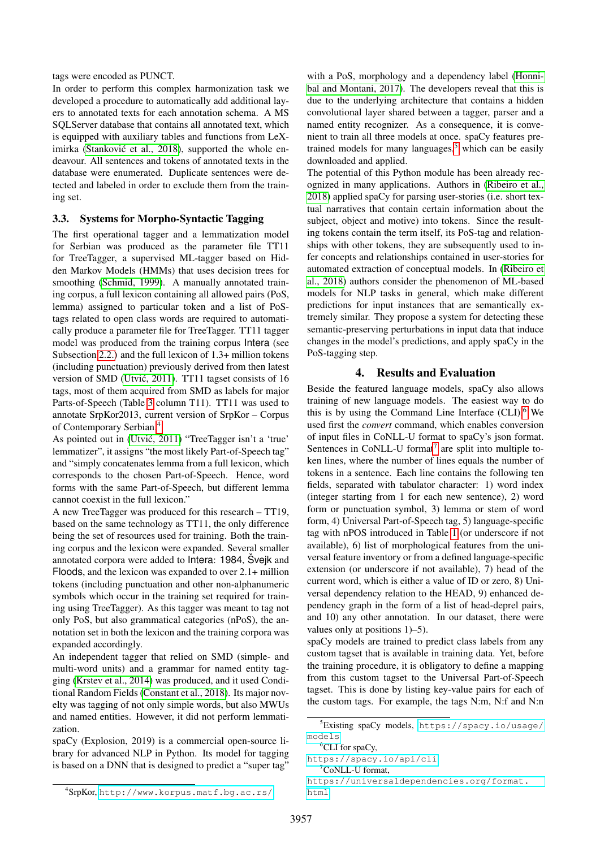#### tags were encoded as PUNCT.

In order to perform this complex harmonization task we developed a procedure to automatically add additional layers to annotated texts for each annotation schema. A MS SQLServer database that contains all annotated text, which is equipped with auxiliary tables and functions from LeXimirka (Stanković et al., 2018), supported the whole endeavour. All sentences and tokens of annotated texts in the database were enumerated. Duplicate sentences were detected and labeled in order to exclude them from the training set.

## <span id="page-3-0"></span>3.3. Systems for Morpho-Syntactic Tagging

The first operational tagger and a lemmatization model for Serbian was produced as the parameter file TT11 for TreeTagger, a supervised ML-tagger based on Hidden Markov Models (HMMs) that uses decision trees for smoothing [\(Schmid, 1999\)](#page-8-4). A manually annotated training corpus, a full lexicon containing all allowed pairs (PoS, lemma) assigned to particular token and a list of PoStags related to open class words are required to automatically produce a parameter file for TreeTagger. TT11 tagger model was produced from the training corpus Intera (see Subsection [2.2.\)](#page-1-8) and the full lexicon of 1.3+ million tokens (including punctuation) previously derived from then latest version of SMD (Utvić, 2011). TT11 tagset consists of 16 tags, most of them acquired from SMD as labels for major Parts-of-Speech (Table [3](#page-2-0) column T11). TT11 was used to annotate SrpKor2013, current version of SrpKor – Corpus of Contemporary Serbian.[4](#page-3-2)

As pointed out in (Utvić, 2011) "TreeTagger isn't a 'true' lemmatizer", it assigns "the most likely Part-of-Speech tag" and "simply concatenates lemma from a full lexicon, which corresponds to the chosen Part-of-Speech. Hence, word forms with the same Part-of-Speech, but different lemma cannot coexist in the full lexicon."

A new TreeTagger was produced for this research – TT19, based on the same technology as TT11, the only difference being the set of resources used for training. Both the training corpus and the lexicon were expanded. Several smaller annotated corpora were added to Intera: 1984, Svejk and Floods, and the lexicon was expanded to over 2.1+ million tokens (including punctuation and other non-alphanumeric symbols which occur in the training set required for training using TreeTagger). As this tagger was meant to tag not only PoS, but also grammatical categories (nPoS), the annotation set in both the lexicon and the training corpora was expanded accordingly.

An independent tagger that relied on SMD (simple- and multi-word units) and a grammar for named entity tagging [\(Krstev et al., 2014\)](#page-8-14) was produced, and it used Conditional Random Fields [\(Constant et al., 2018\)](#page-8-15). Its major novelty was tagging of not only simple words, but also MWUs and named entities. However, it did not perform lemmatization.

spaCy (Explosion, 2019) is a commercial open-source library for advanced NLP in Python. Its model for tagging is based on a DNN that is designed to predict a "super tag"

with a PoS, morphology and a dependency label [\(Honni](#page-8-16)[bal and Montani, 2017\)](#page-8-16). The developers reveal that this is due to the underlying architecture that contains a hidden convolutional layer shared between a tagger, parser and a named entity recognizer. As a consequence, it is convenient to train all three models at once. spaCy features pretrained models for many languages, $5$  which can be easily downloaded and applied.

The potential of this Python module has been already recognized in many applications. Authors in [\(Ribeiro et al.,](#page-8-17) [2018\)](#page-8-17) applied spaCy for parsing user-stories (i.e. short textual narratives that contain certain information about the subject, object and motive) into tokens. Since the resulting tokens contain the term itself, its PoS-tag and relationships with other tokens, they are subsequently used to infer concepts and relationships contained in user-stories for automated extraction of conceptual models. In [\(Ribeiro et](#page-8-17) [al., 2018\)](#page-8-17) authors consider the phenomenon of ML-based models for NLP tasks in general, which make different predictions for input instances that are semantically extremely similar. They propose a system for detecting these semantic-preserving perturbations in input data that induce changes in the model's predictions, and apply spaCy in the PoS-tagging step.

# 4. Results and Evaluation

<span id="page-3-1"></span>Beside the featured language models, spaCy also allows training of new language models. The easiest way to do this is by using the Command Line Interface  $(CLI)$ .<sup>[6](#page-3-4)</sup> We used first the *convert* command, which enables conversion of input files in CoNLL-U format to spaCy's json format. Sentences in CoNLL-U format<sup>[7](#page-3-5)</sup> are split into multiple token lines, where the number of lines equals the number of tokens in a sentence. Each line contains the following ten fields, separated with tabulator character: 1) word index (integer starting from 1 for each new sentence), 2) word form or punctuation symbol, 3) lemma or stem of word form, 4) Universal Part-of-Speech tag, 5) language-specific tag with nPOS introduced in Table [1](#page-1-4) (or underscore if not available), 6) list of morphological features from the universal feature inventory or from a defined language-specific extension (or underscore if not available), 7) head of the current word, which is either a value of ID or zero, 8) Universal dependency relation to the HEAD, 9) enhanced dependency graph in the form of a list of head-deprel pairs, and 10) any other annotation. In our dataset, there were values only at positions 1)–5).

spaCy models are trained to predict class labels from any custom tagset that is available in training data. Yet, before the training procedure, it is obligatory to define a mapping from this custom tagset to the Universal Part-of-Speech tagset. This is done by listing key-value pairs for each of the custom tags. For example, the tags N:m, N:f and N:n

<span id="page-3-3"></span><sup>5</sup>Existing spaCy models, [https://spacy.io/usage/](https://spacy.io/usage/models) [models](https://spacy.io/usage/models)

<span id="page-3-4"></span><sup>&</sup>lt;sup>6</sup>CLI for spaCy,

<span id="page-3-5"></span><https://spacy.io/api/cli> <sup>7</sup>CoNLL-U format,

[https://universaldependencies.org/format.](https://universaldependencies.org/format.html) [html](https://universaldependencies.org/format.html)

<span id="page-3-2"></span><sup>4</sup> SrpKor, <http://www.korpus.matf.bg.ac.rs/>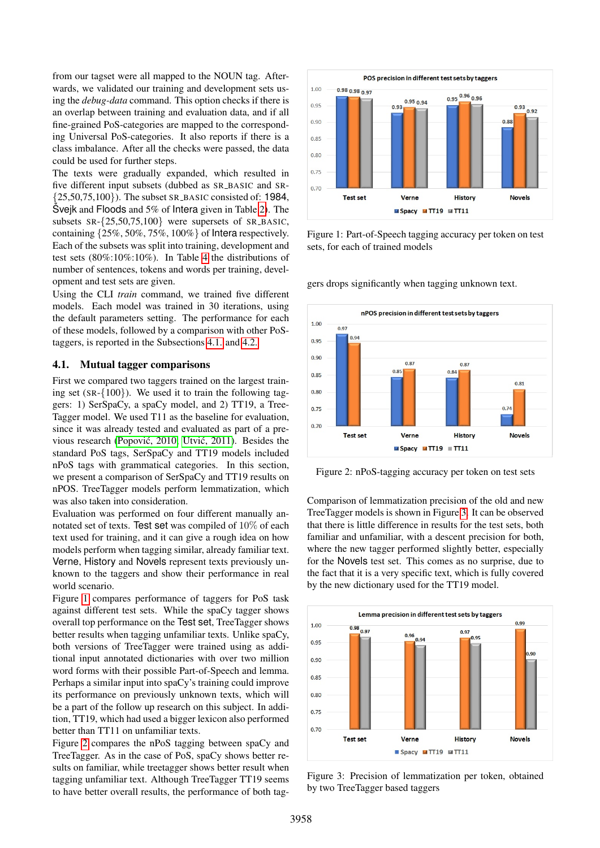from our tagset were all mapped to the NOUN tag. Afterwards, we validated our training and development sets using the *debug-data* command. This option checks if there is an overlap between training and evaluation data, and if all fine-grained PoS-categories are mapped to the corresponding Universal PoS-categories. It also reports if there is a class imbalance. After all the checks were passed, the data could be used for further steps.

The texts were gradually expanded, which resulted in five different input subsets (dubbed as SR\_BASIC and SR- $\{25,50,75,100\}$ ). The subset SR\_BASIC consisted of: 1984, Svejk and Floods and  $5\%$  of Intera given in Table [2\)](#page-1-6). The subsets  $SR - \{25, 50, 75, 100\}$  were supersets of  $SR\_BASIC$ , containing {25%, 50%, 75%, 100%} of Intera respectively. Each of the subsets was split into training, development and test sets (80%:10%:10%). In Table [4](#page-5-1) the distributions of number of sentences, tokens and words per training, development and test sets are given.

Using the CLI *train* command, we trained five different models. Each model was trained in 30 iterations, using the default parameters setting. The performance for each of these models, followed by a comparison with other PoStaggers, is reported in the Subsections [4.1.](#page-4-0) and [4.2.](#page-5-2)

#### <span id="page-4-0"></span>4.1. Mutual tagger comparisons

First we compared two taggers trained on the largest training set (SR-{100}). We used it to train the following taggers: 1) SerSpaCy, a spaCy model, and 2) TT19, a Tree-Tagger model. We used T11 as the baseline for evaluation, since it was already tested and evaluated as part of a previous research (Popović, 2010; Utvić, 2011). Besides the standard PoS tags, SerSpaCy and TT19 models included nPoS tags with grammatical categories. In this section, we present a comparison of SerSpaCy and TT19 results on nPOS. TreeTagger models perform lemmatization, which was also taken into consideration.

Evaluation was performed on four different manually annotated set of texts. Test set was compiled of 10% of each text used for training, and it can give a rough idea on how models perform when tagging similar, already familiar text. Verne, History and Novels represent texts previously unknown to the taggers and show their performance in real world scenario.

Figure [1](#page-4-1) compares performance of taggers for PoS task against different test sets. While the spaCy tagger shows overall top performance on the Test set, TreeTagger shows better results when tagging unfamiliar texts. Unlike spaCy, both versions of TreeTagger were trained using as additional input annotated dictionaries with over two million word forms with their possible Part-of-Speech and lemma. Perhaps a similar input into spaCy's training could improve its performance on previously unknown texts, which will be a part of the follow up research on this subject. In addition, TT19, which had used a bigger lexicon also performed better than TT11 on unfamiliar texts.

Figure [2](#page-4-2) compares the nPoS tagging between spaCy and TreeTagger. As in the case of PoS, spaCy shows better results on familiar, while treetagger shows better result when tagging unfamiliar text. Although TreeTagger TT19 seems to have better overall results, the performance of both tag-

<span id="page-4-1"></span>

Figure 1: Part-of-Speech tagging accuracy per token on test sets, for each of trained models

gers drops significantly when tagging unknown text.

<span id="page-4-2"></span>

Figure 2: nPoS-tagging accuracy per token on test sets

Comparison of lemmatization precision of the old and new TreeTagger models is shown in Figure [3.](#page-4-3) It can be observed that there is little difference in results for the test sets, both familiar and unfamiliar, with a descent precision for both, where the new tagger performed slightly better, especially for the Novels test set. This comes as no surprise, due to the fact that it is a very specific text, which is fully covered by the new dictionary used for the TT19 model.

<span id="page-4-3"></span>

Figure 3: Precision of lemmatization per token, obtained by two TreeTagger based taggers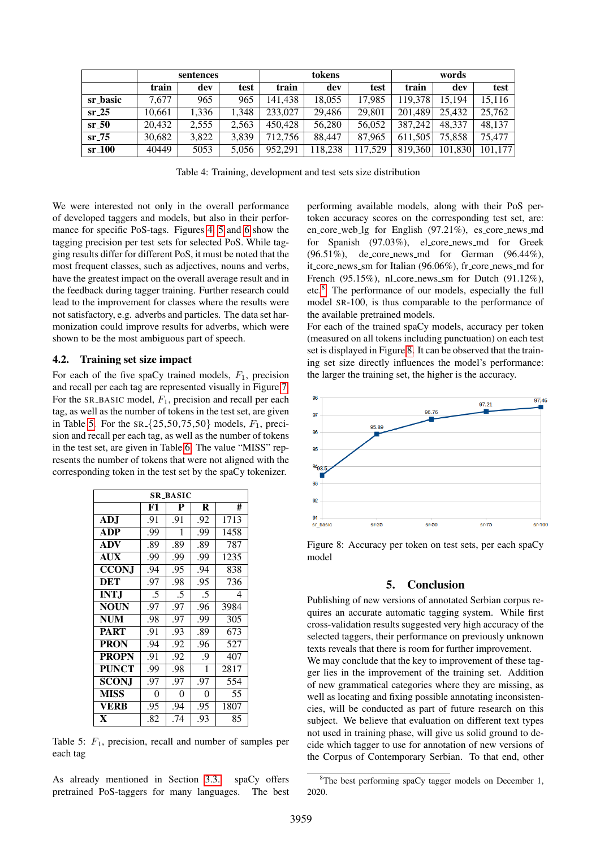<span id="page-5-1"></span>

|          |        | sentences |       | tokens  |         |         | words   |         |         |  |
|----------|--------|-----------|-------|---------|---------|---------|---------|---------|---------|--|
|          | train  | dev       | test  | train   | dev     | test    | train   | dev     | test    |  |
| sr_basic | 7.677  | 965       | 965   | 141.438 | 18.055  | 17.985  | 119.378 | 15.194  | 15.116  |  |
| $sr-25$  | 10.661 | 1,336     | 1.348 | 233,027 | 29.486  | 29.801  | 201.489 | 25.432  | 25,762  |  |
| $sr_50$  | 20.432 | 2.555     | 2.563 | 450,428 | 56,280  | 56.052  | 387,242 | 48.337  | 48.137  |  |
| $sr-75$  | 30.682 | 3.822     | 3.839 | 712.756 | 88.447  | 87.965  | 611.505 | 75,858  | 75.477  |  |
| $sr_100$ | 40449  | 5053      | 5.056 | 952.291 | 118,238 | 117.529 | 819,360 | 101.830 | 101.177 |  |

Table 4: Training, development and test sets size distribution

We were interested not only in the overall performance of developed taggers and models, but also in their performance for specific PoS-tags. Figures [4,](#page-6-0) [5](#page-6-1) and [6](#page-6-2) show the tagging precision per test sets for selected PoS. While tagging results differ for different PoS, it must be noted that the most frequent classes, such as adjectives, nouns and verbs, have the greatest impact on the overall average result and in the feedback during tagger training. Further research could lead to the improvement for classes where the results were not satisfactory, e.g. adverbs and particles. The data set harmonization could improve results for adverbs, which were shown to be the most ambiguous part of speech.

## <span id="page-5-2"></span>4.2. Training set size impact

For each of the five spaCy trained models,  $F_1$ , precision and recall per each tag are represented visually in Figure [7.](#page-7-2) For the SR\_BASIC model,  $F_1$ , precision and recall per each tag, as well as the number of tokens in the test set, are given in Table [5.](#page-5-3) For the  $SR = \{25, 50, 75, 50\}$  models,  $F_1$ , precision and recall per each tag, as well as the number of tokens in the test set, are given in Table [6.](#page-7-3) The value "MISS" represents the number of tokens that were not aligned with the corresponding token in the test set by the spaCy tokenizer.

<span id="page-5-3"></span>

| SR_BASIC     |     |     |     |      |  |  |  |  |  |  |
|--------------|-----|-----|-----|------|--|--|--|--|--|--|
|              | F1  | P   | R   | #    |  |  |  |  |  |  |
| <b>ADJ</b>   | .91 | .91 | .92 | 1713 |  |  |  |  |  |  |
| ADP          | .99 | 1   | .99 | 1458 |  |  |  |  |  |  |
| <b>ADV</b>   | .89 | .89 | .89 | 787  |  |  |  |  |  |  |
| <b>AUX</b>   | .99 | .99 | .99 | 1235 |  |  |  |  |  |  |
| <b>CCONI</b> | .94 | .95 | .94 | 838  |  |  |  |  |  |  |
| DET          | .97 | .98 | .95 | 736  |  |  |  |  |  |  |
| <b>INTJ</b>  | .5  | .5  | .5  | 4    |  |  |  |  |  |  |
| <b>NOUN</b>  | .97 | .97 | .96 | 3984 |  |  |  |  |  |  |
| <b>NUM</b>   | .98 | .97 | .99 | 305  |  |  |  |  |  |  |
| <b>PART</b>  | .91 | .93 | .89 | 673  |  |  |  |  |  |  |
| <b>PRON</b>  | .94 | .92 | .96 | 527  |  |  |  |  |  |  |
| <b>PROPN</b> | .91 | .92 | .9  | 407  |  |  |  |  |  |  |
| <b>PUNCT</b> | .99 | .98 | 1   | 2817 |  |  |  |  |  |  |
| <b>SCONJ</b> | .97 | .97 | .97 | 554  |  |  |  |  |  |  |
| <b>MISS</b>  | 0   | 0   | 0   | 55   |  |  |  |  |  |  |
| <b>VERB</b>  | .95 | .94 | .95 | 1807 |  |  |  |  |  |  |
| $\mathbf{x}$ | .82 | .74 | .93 | 85   |  |  |  |  |  |  |

Table 5:  $F_1$ , precision, recall and number of samples per each tag

As already mentioned in Section [3.3.](#page-3-0) spaCy offers pretrained PoS-taggers for many languages. The best performing available models, along with their PoS pertoken accuracy scores on the corresponding test set, are: en\_core\_web\_lg for English (97.21%), es\_core\_news\_md for Spanish (97.03%), el\_core\_news\_md for Greek (96.51%), de core news md for German (96.44%), it core news sm for Italian (96.06%), fr core news md for French (95.15%), nl\_core\_news\_sm for Dutch (91.12%), etc.[8](#page-5-4) The performance of our models, especially the full model SR-100, is thus comparable to the performance of the available pretrained models.

For each of the trained spaCy models, accuracy per token (measured on all tokens including punctuation) on each test set is displayed in Figure [8.](#page-5-5) It can be observed that the training set size directly influences the model's performance: the larger the training set, the higher is the accuracy.

<span id="page-5-5"></span>

Figure 8: Accuracy per token on test sets, per each spaCy model

#### 5. Conclusion

<span id="page-5-0"></span>Publishing of new versions of annotated Serbian corpus requires an accurate automatic tagging system. While first cross-validation results suggested very high accuracy of the selected taggers, their performance on previously unknown texts reveals that there is room for further improvement.

We may conclude that the key to improvement of these tagger lies in the improvement of the training set. Addition of new grammatical categories where they are missing, as well as locating and fixing possible annotating inconsistencies, will be conducted as part of future research on this subject. We believe that evaluation on different text types not used in training phase, will give us solid ground to decide which tagger to use for annotation of new versions of the Corpus of Contemporary Serbian. To that end, other

<span id="page-5-4"></span><sup>8</sup>The best performing spaCy tagger models on December 1, 2020.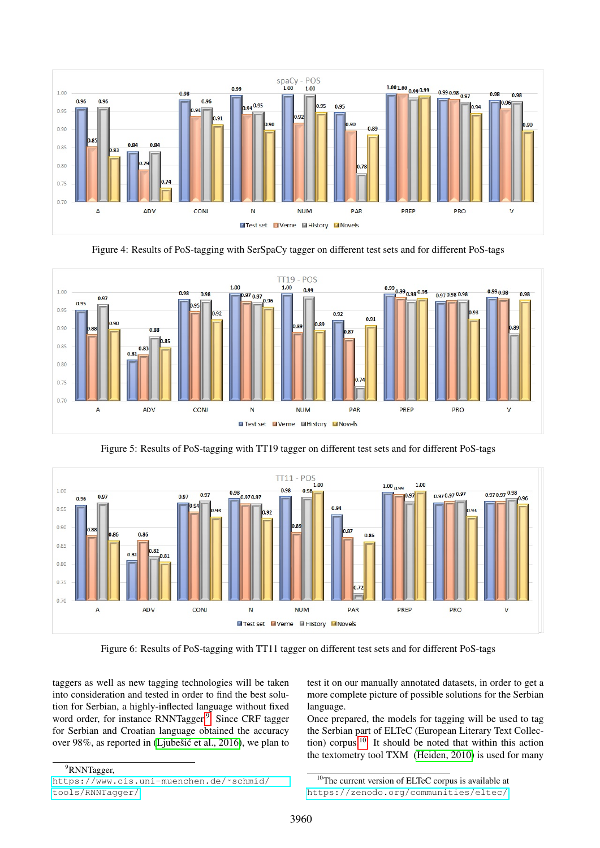<span id="page-6-0"></span>

Figure 4: Results of PoS-tagging with SerSpaCy tagger on different test sets and for different PoS-tags

<span id="page-6-1"></span>

<span id="page-6-2"></span>

Figure 5: Results of PoS-tagging with TT19 tagger on different test sets and for different PoS-tags

Figure 6: Results of PoS-tagging with TT11 tagger on different test sets and for different PoS-tags

taggers as well as new tagging technologies will be taken into consideration and tested in order to find the best solution for Serbian, a highly-inflected language without fixed word order, for instance RNNTagger.<sup>[9](#page-6-3)</sup> Since CRF tagger for Serbian and Croatian language obtained the accuracy over 98%, as reported in (Ljubešić et al., 2016), we plan to test it on our manually annotated datasets, in order to get a more complete picture of possible solutions for the Serbian language.

Once prepared, the models for tagging will be used to tag the Serbian part of ELTeC (European Literary Text Collection) corpus.[10](#page-6-4) It should be noted that within this action the textometry tool TXM [\(Heiden, 2010\)](#page-8-19) is used for many

<span id="page-6-3"></span><sup>9</sup>RNNTagger,

[https://www.cis.uni-muenchen.de/˜schmid/](https://www.cis.uni-muenchen.de/~schmid/tools/RNNTagger/) [tools/RNNTagger/](https://www.cis.uni-muenchen.de/~schmid/tools/RNNTagger/)

<span id="page-6-4"></span><sup>10</sup>The current version of ELTeC corpus is available at

[https://zenodo.org/communities/eltec/]( https://zenodo.org/communities/eltec/).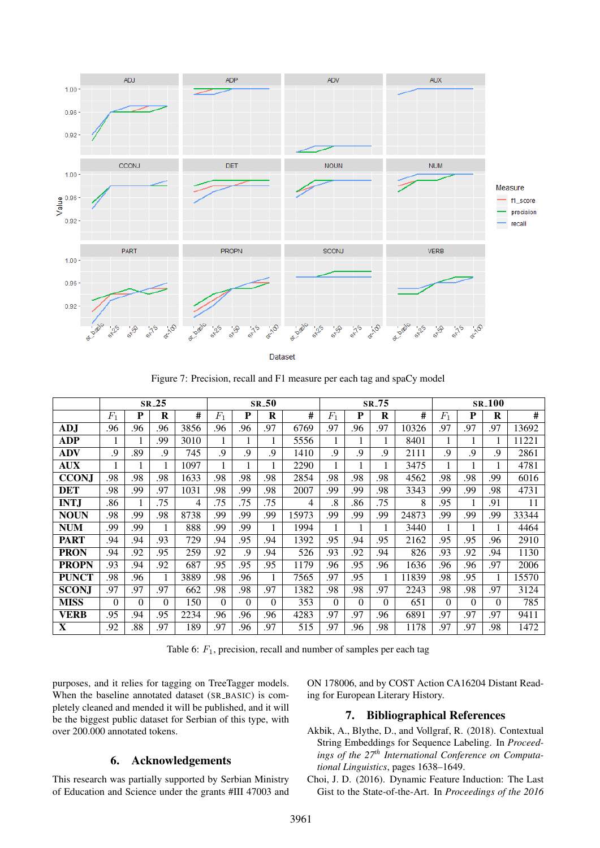<span id="page-7-2"></span>

Dataset

Figure 7: Precision, recall and F1 measure per each tag and spaCy model

<span id="page-7-3"></span>

|              |          |          | $SR-25$ |      | $SR_50$     |          |          | SR <sub>-75</sub> |          |          | <b>SR_100</b> |       |       |          |     |       |
|--------------|----------|----------|---------|------|-------------|----------|----------|-------------------|----------|----------|---------------|-------|-------|----------|-----|-------|
|              | $F_1$    | P        | R       | #    | $F_{\rm 1}$ | P        | R        | #                 | $F_1$    | P        | R             | #     | $F_1$ | P        | R   | #     |
| <b>ADJ</b>   | .96      | .96      | .96     | 3856 | .96         | .96      | .97      | 6769              | .97      | .96      | .97           | 10326 | .97   | .97      | .97 | 13692 |
| <b>ADP</b>   | 1        |          | .99     | 3010 |             |          |          | 5556              |          |          | 1             | 8401  |       |          |     | 11221 |
| <b>ADV</b>   | .9       | .89      | .9      | 745  | .9          | .9       | .9       | 1410              | .9       | 9.       | .9            | 2111  | .9    | .9       | .9  | 2861  |
| <b>AUX</b>   | 1        |          |         | 1097 |             |          |          | 2290              |          |          | 1             | 3475  |       |          |     | 4781  |
| <b>CCONJ</b> | .98      | .98      | .98     | 1633 | .98         | .98      | .98      | 2854              | .98      | .98      | .98           | 4562  | .98   | .98      | .99 | 6016  |
| <b>DET</b>   | .98      | .99      | .97     | 1031 | .98         | .99      | .98      | 2007              | .99      | .99      | .98           | 3343  | .99   | .99      | .98 | 4731  |
| <b>INTJ</b>  | .86      |          | .75     | 4    | .75         | .75      | .75      | 4                 | .8       | .86      | .75           | 8     | .95   |          | .91 | 11    |
| <b>NOUN</b>  | .98      | .99      | .98     | 8738 | .99         | .99      | .99      | 15973             | .99      | .99      | .99           | 24873 | .99   | .99      | .99 | 33344 |
| <b>NUM</b>   | .99      | .99      |         | 888  | .99         | .99      |          | 1994              |          |          |               | 3440  |       |          |     | 4464  |
| <b>PART</b>  | .94      | .94      | .93     | 729  | .94         | .95      | .94      | 1392              | .95      | .94      | .95           | 2162  | .95   | .95      | .96 | 2910  |
| <b>PRON</b>  | .94      | .92      | .95     | 259  | .92         | .9       | .94      | 526               | .93      | .92      | .94           | 826   | .93   | .92      | .94 | 1130  |
| <b>PROPN</b> | .93      | .94      | .92     | 687  | .95         | .95      | .95      | 1179              | .96      | .95      | .96           | 1636  | .96   | .96      | .97 | 2006  |
| <b>PUNCT</b> | .98      | .96      |         | 3889 | .98         | .96      |          | 7565              | .97      | .95      |               | 11839 | .98   | .95      |     | 15570 |
| <b>SCON.</b> | .97      | .97      | .97     | 662  | .98         | .98      | .97      | 1382              | .98      | .98      | .97           | 2243  | .98   | .98      | .97 | 3124  |
| <b>MISS</b>  | $\Omega$ | $\Omega$ | 0       | 150  | $\Omega$    | $\Omega$ | $\Omega$ | 353               | $\Omega$ | $\Omega$ | $\Omega$      | 651   | 0     | $\Omega$ | 0   | 785   |
| <b>VERB</b>  | .95      | .94      | .95     | 2234 | .96         | .96      | .96      | 4283              | .97      | .97      | .96           | 6891  | .97   | .97      | .97 | 9411  |
| X            | .92      | .88      | 97      | 189  | .97         | .96      | .97      | 515               | .97      | .96      | .98           | 1178  | .97   | .97      | .98 | 1472  |

Table 6:  $F_1$ , precision, recall and number of samples per each tag

purposes, and it relies for tagging on TreeTagger models. When the baseline annotated dataset (SR\_BASIC) is completely cleaned and mended it will be published, and it will be the biggest public dataset for Serbian of this type, with over 200.000 annotated tokens.

# 6. Acknowledgements

This research was partially supported by Serbian Ministry of Education and Science under the grants #III 47003 and ON 178006, and by COST Action CA16204 Distant Reading for European Literary History.

# 7. Bibliographical References

- <span id="page-7-1"></span>Akbik, A., Blythe, D., and Vollgraf, R. (2018). Contextual String Embeddings for Sequence Labeling. In *Proceedings of the 27th International Conference on Computational Linguistics*, pages 1638–1649.
- <span id="page-7-0"></span>Choi, J. D. (2016). Dynamic Feature Induction: The Last Gist to the State-of-the-Art. In *Proceedings of the 2016*